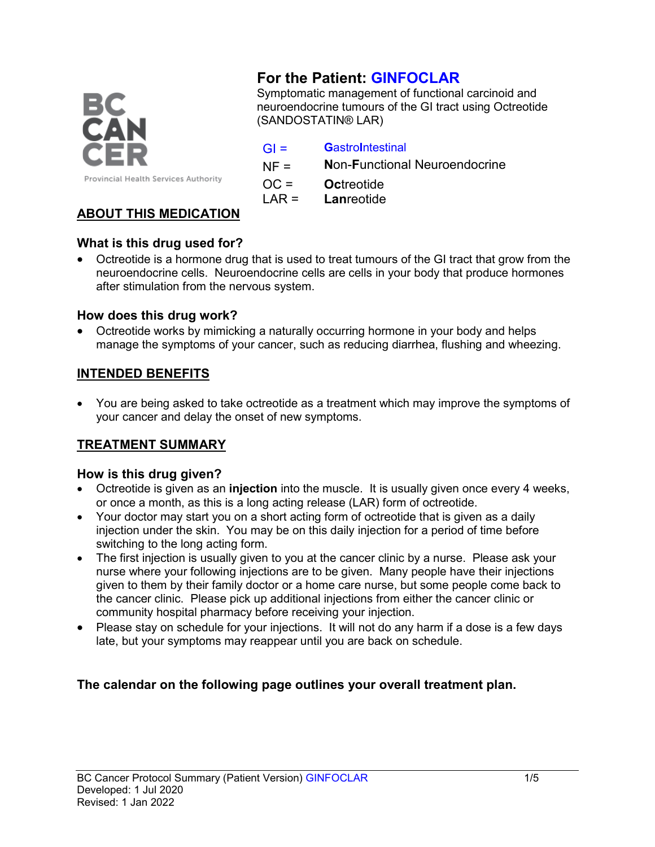

# **For the Patient: GINFOCLAR**

Symptomatic management of functional carcinoid and neuroendocrine tumours of the GI tract using Octreotide (SANDOSTATIN® LAR)

### GI = **G**astro**I**ntestinal

NF = **N**on-**F**unctional Neuroendocrine

OC = **Oc**treotide

LAR = **Lan**reotide

# **ABOUT THIS MEDICATION**

### **What is this drug used for?**

• Octreotide is a hormone drug that is used to treat tumours of the GI tract that grow from the neuroendocrine cells. Neuroendocrine cells are cells in your body that produce hormones after stimulation from the nervous system.

### **How does this drug work?**

• Octreotide works by mimicking a naturally occurring hormone in your body and helps manage the symptoms of your cancer, such as reducing diarrhea, flushing and wheezing.

### **INTENDED BENEFITS**

• You are being asked to take octreotide as a treatment which may improve the symptoms of your cancer and delay the onset of new symptoms.

# **TREATMENT SUMMARY**

### **How is this drug given?**

- Octreotide is given as an **injection** into the muscle. It is usually given once every 4 weeks, or once a month, as this is a long acting release (LAR) form of octreotide.
- Your doctor may start you on a short acting form of octreotide that is given as a daily injection under the skin. You may be on this daily injection for a period of time before switching to the long acting form.
- The first injection is usually given to you at the cancer clinic by a nurse. Please ask your nurse where your following injections are to be given. Many people have their injections given to them by their family doctor or a home care nurse, but some people come back to the cancer clinic. Please pick up additional injections from either the cancer clinic or community hospital pharmacy before receiving your injection.
- Please stay on schedule for your injections. It will not do any harm if a dose is a few days late, but your symptoms may reappear until you are back on schedule.

# **The calendar on the following page outlines your overall treatment plan.**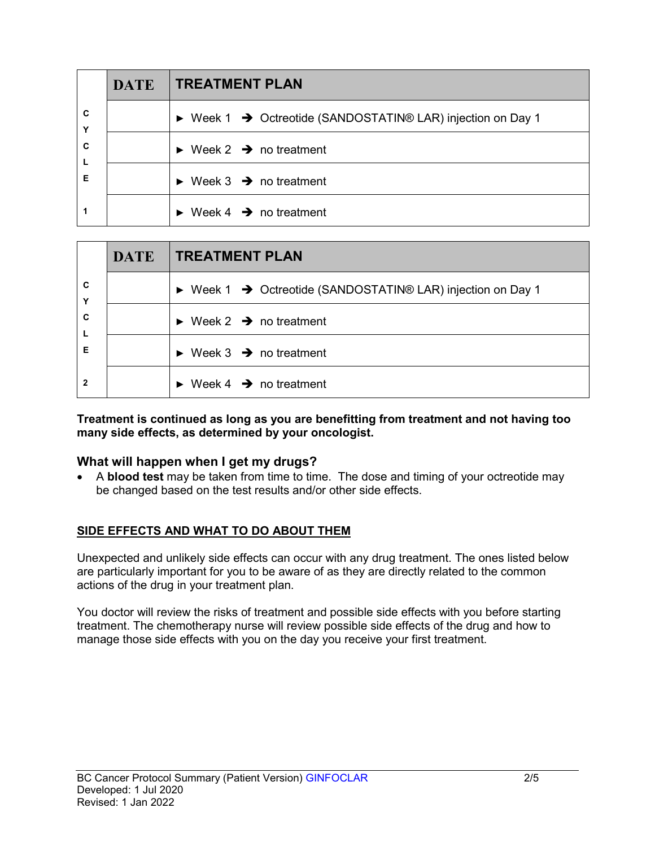|                  | <b>DATE</b> | <b>TREATMENT PLAN</b>                                                                  |  |
|------------------|-------------|----------------------------------------------------------------------------------------|--|
| C<br>Y<br>C<br>L |             | $\triangleright$ Week 1 $\rightarrow$ Octreotide (SANDOSTATIN® LAR) injection on Day 1 |  |
|                  |             | Week 2 $\rightarrow$ no treatment                                                      |  |
| Е                |             | $\triangleright$ Week 3 $\rightarrow$ no treatment                                     |  |
|                  |             | Week 4 $\rightarrow$ no treatment                                                      |  |

|             | <b>DATE</b> | <b>TREATMENT PLAN</b>                                       |  |
|-------------|-------------|-------------------------------------------------------------|--|
| C<br>Υ      |             | ▶ Week 1 → Octreotide (SANDOSTATIN® LAR) injection on Day 1 |  |
| C<br>L<br>Е |             | Week 2 $\rightarrow$ no treatment                           |  |
|             |             | $\triangleright$ Week 3 $\rightarrow$ no treatment          |  |
| 2           |             | Week 4 $\rightarrow$ no treatment                           |  |

**Treatment is continued as long as you are benefitting from treatment and not having too many side effects, as determined by your oncologist.**

### **What will happen when I get my drugs?**

• A **blood test** may be taken from time to time. The dose and timing of your octreotide may be changed based on the test results and/or other side effects.

### **SIDE EFFECTS AND WHAT TO DO ABOUT THEM**

Unexpected and unlikely side effects can occur with any drug treatment. The ones listed below are particularly important for you to be aware of as they are directly related to the common actions of the drug in your treatment plan.

You doctor will review the risks of treatment and possible side effects with you before starting treatment. The chemotherapy nurse will review possible side effects of the drug and how to manage those side effects with you on the day you receive your first treatment.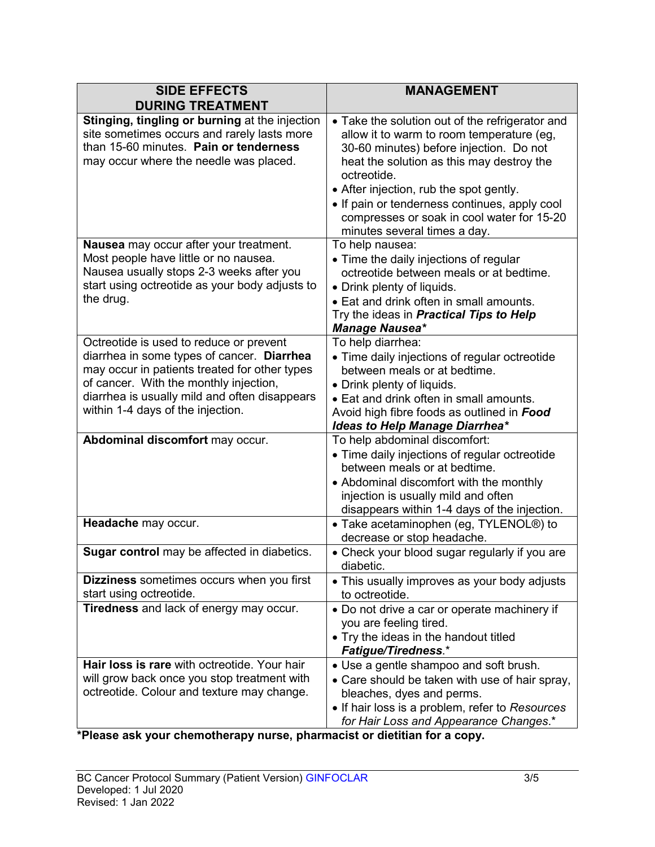| <b>SIDE EFFECTS</b><br><b>DURING TREATMENT</b>                                                                                                                                                                                                                         | <b>MANAGEMENT</b>                                                                                                                                                                                                                                                                                                                                                             |
|------------------------------------------------------------------------------------------------------------------------------------------------------------------------------------------------------------------------------------------------------------------------|-------------------------------------------------------------------------------------------------------------------------------------------------------------------------------------------------------------------------------------------------------------------------------------------------------------------------------------------------------------------------------|
| Stinging, tingling or burning at the injection<br>site sometimes occurs and rarely lasts more<br>than 15-60 minutes. Pain or tenderness<br>may occur where the needle was placed.                                                                                      | • Take the solution out of the refrigerator and<br>allow it to warm to room temperature (eg,<br>30-60 minutes) before injection. Do not<br>heat the solution as this may destroy the<br>octreotide.<br>• After injection, rub the spot gently.<br>• If pain or tenderness continues, apply cool<br>compresses or soak in cool water for 15-20<br>minutes several times a day. |
| Nausea may occur after your treatment.<br>Most people have little or no nausea.<br>Nausea usually stops 2-3 weeks after you<br>start using octreotide as your body adjusts to<br>the drug.                                                                             | To help nausea:<br>• Time the daily injections of regular<br>octreotide between meals or at bedtime.<br>• Drink plenty of liquids.<br>• Eat and drink often in small amounts.<br>Try the ideas in <b>Practical Tips to Help</b><br><b>Manage Nausea*</b>                                                                                                                      |
| Octreotide is used to reduce or prevent<br>diarrhea in some types of cancer. Diarrhea<br>may occur in patients treated for other types<br>of cancer. With the monthly injection,<br>diarrhea is usually mild and often disappears<br>within 1-4 days of the injection. | To help diarrhea:<br>• Time daily injections of regular octreotide<br>between meals or at bedtime.<br>• Drink plenty of liquids.<br>• Eat and drink often in small amounts.<br>Avoid high fibre foods as outlined in Food<br><b>Ideas to Help Manage Diarrhea*</b>                                                                                                            |
| Abdominal discomfort may occur.                                                                                                                                                                                                                                        | To help abdominal discomfort:<br>• Time daily injections of regular octreotide<br>between meals or at bedtime.<br>• Abdominal discomfort with the monthly<br>injection is usually mild and often<br>disappears within 1-4 days of the injection.                                                                                                                              |
| Headache may occur.<br>Sugar control may be affected in diabetics.                                                                                                                                                                                                     | • Take acetaminophen (eg, TYLENOL®) to<br>decrease or stop headache.<br>• Check your blood sugar regularly if you are                                                                                                                                                                                                                                                         |
| Dizziness sometimes occurs when you first<br>start using octreotide.                                                                                                                                                                                                   | diabetic.<br>• This usually improves as your body adjusts<br>to octreotide.                                                                                                                                                                                                                                                                                                   |
| Tiredness and lack of energy may occur.                                                                                                                                                                                                                                | . Do not drive a car or operate machinery if<br>you are feeling tired.<br>• Try the ideas in the handout titled<br><b>Fatigue/Tiredness.*</b>                                                                                                                                                                                                                                 |
| <b>Hair loss is rare</b> with octreotide. Your hair<br>will grow back once you stop treatment with<br>octreotide. Colour and texture may change.                                                                                                                       | • Use a gentle shampoo and soft brush.<br>• Care should be taken with use of hair spray,<br>bleaches, dyes and perms.<br>• If hair loss is a problem, refer to Resources<br>for Hair Loss and Appearance Changes.*                                                                                                                                                            |

### **\*Please ask your chemotherapy nurse, pharmacist or dietitian for a copy.**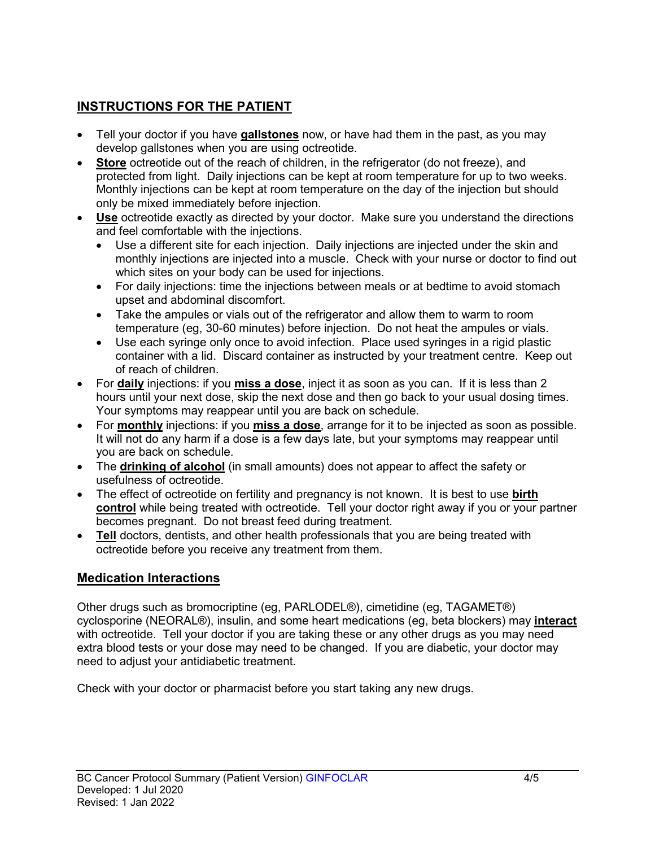# **INSTRUCTIONS FOR THE PATIENT**

- Tell your doctor if you have **gallstones** now, or have had them in the past, as you may develop gallstones when you are using octreotide.
- **Store** octreotide out of the reach of children, in the refrigerator (do not freeze), and protected from light. Daily injections can be kept at room temperature for up to two weeks. Monthly injections can be kept at room temperature on the day of the injection but should only be mixed immediately before injection.
- **Use** octreotide exactly as directed by your doctor. Make sure you understand the directions and feel comfortable with the injections.
	- Use a different site for each injection. Daily injections are injected under the skin and monthly injections are injected into a muscle. Check with your nurse or doctor to find out which sites on your body can be used for injections.
	- For daily injections: time the injections between meals or at bedtime to avoid stomach upset and abdominal discomfort.
	- Take the ampules or vials out of the refrigerator and allow them to warm to room temperature (eg, 30-60 minutes) before injection. Do not heat the ampules or vials.
	- Use each syringe only once to avoid infection. Place used syringes in a rigid plastic container with a lid. Discard container as instructed by your treatment centre. Keep out of reach of children.
- For **daily** injections: if you **miss a dose**, inject it as soon as you can. If it is less than 2 hours until your next dose, skip the next dose and then go back to your usual dosing times. Your symptoms may reappear until you are back on schedule.
- For **monthly** injections: if you **miss a dose**, arrange for it to be injected as soon as possible. It will not do any harm if a dose is a few days late, but your symptoms may reappear until you are back on schedule.
- The **drinking of alcohol** (in small amounts) does not appear to affect the safety or usefulness of octreotide.
- The effect of octreotide on fertility and pregnancy is not known. It is best to use **birth control** while being treated with octreotide. Tell your doctor right away if you or your partner becomes pregnant. Do not breast feed during treatment.
- **Tell** doctors, dentists, and other health professionals that you are being treated with octreotide before you receive any treatment from them.

# **Medication Interactions**

Other drugs such as bromocriptine (eg, PARLODEL®), cimetidine (eg, TAGAMET®) cyclosporine (NEORAL®), insulin, and some heart medications (eg, beta blockers) may **interact** with octreotide. Tell your doctor if you are taking these or any other drugs as you may need extra blood tests or your dose may need to be changed. If you are diabetic, your doctor may need to adjust your antidiabetic treatment.

Check with your doctor or pharmacist before you start taking any new drugs.